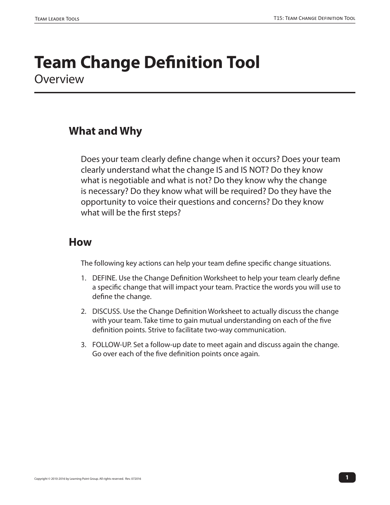## **Team Change Definition Tool Overview**

### **What and Why**

Does your team clearly define change when it occurs? Does your team clearly understand what the change IS and IS NOT? Do they know what is negotiable and what is not? Do they know why the change is necessary? Do they know what will be required? Do they have the opportunity to voice their questions and concerns? Do they know what will be the first steps?

#### **How**

The following key actions can help your team define specific change situations.

- 1. DEFINE. Use the Change Definition Worksheet to help your team clearly define a specific change that will impact your team. Practice the words you will use to define the change.
- 2. DISCUSS. Use the Change Definition Worksheet to actually discuss the change with your team. Take time to gain mutual understanding on each of the five definition points. Strive to facilitate two-way communication.
- 3. FOLLOW-UP. Set a follow-up date to meet again and discuss again the change. Go over each of the five definition points once again.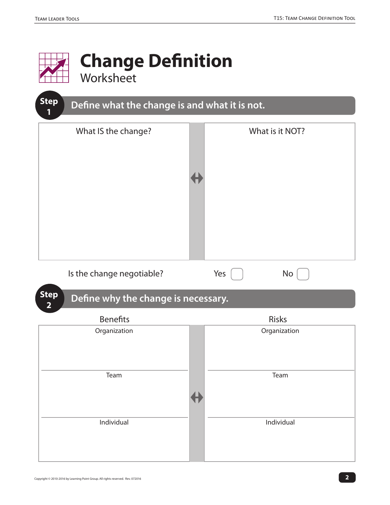

**2** 

# **Change Definition**

Worksheet



### **Step** Define why the change is necessary.

| <b>Benefits</b> | Risks        |  |  |
|-----------------|--------------|--|--|
| Organization    | Organization |  |  |
|                 |              |  |  |
|                 |              |  |  |
|                 |              |  |  |
| Team            | Team         |  |  |
|                 |              |  |  |
|                 |              |  |  |
|                 |              |  |  |
| Individual      | Individual   |  |  |
|                 |              |  |  |
|                 |              |  |  |
|                 |              |  |  |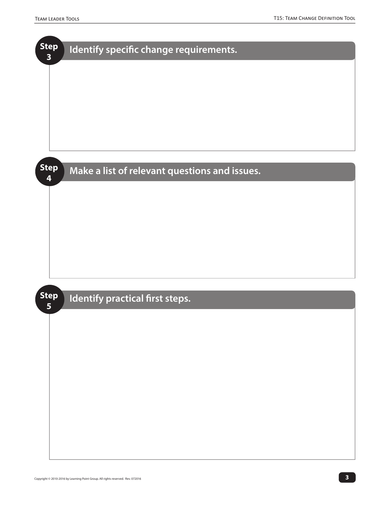| <b>Step</b><br>$\overline{\mathbf{3}}$ | Identify specific change requirements.        |
|----------------------------------------|-----------------------------------------------|
|                                        |                                               |
|                                        |                                               |
|                                        |                                               |
|                                        |                                               |
|                                        |                                               |
|                                        |                                               |
| <b>Step</b><br>4                       | Make a list of relevant questions and issues. |
|                                        |                                               |
|                                        |                                               |
|                                        |                                               |
|                                        |                                               |
|                                        |                                               |
|                                        |                                               |
| <b>Step</b>                            |                                               |
| $5\overline{)}$                        | Identify practical first steps.               |
|                                        |                                               |
|                                        |                                               |
|                                        |                                               |
|                                        |                                               |
|                                        |                                               |
|                                        |                                               |
|                                        |                                               |
|                                        |                                               |
|                                        |                                               |